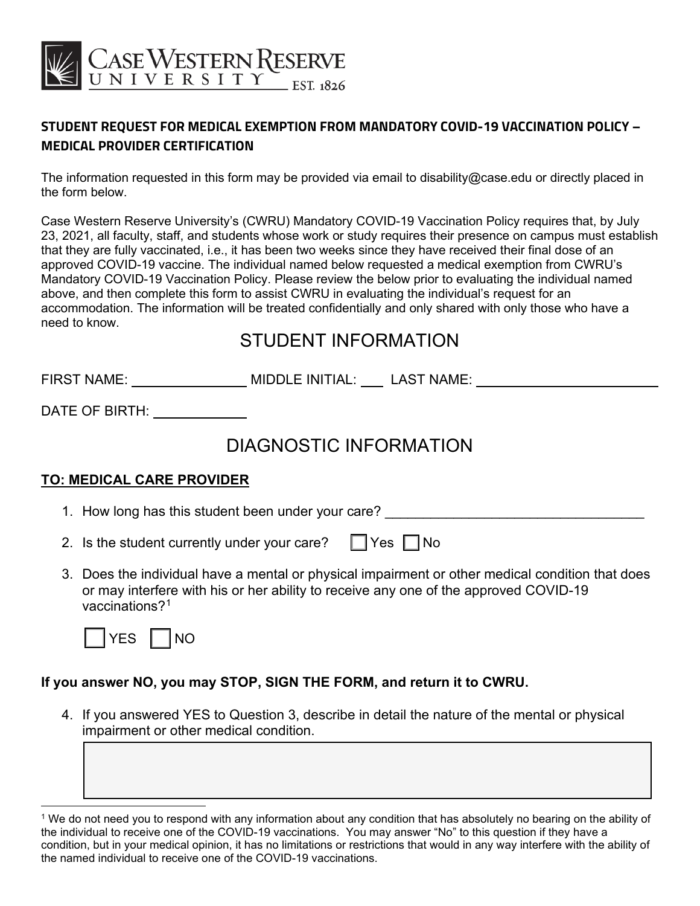

### **STUDENT REQUEST FOR MEDICAL EXEMPTION FROM MANDATORY COVID-19 VACCINATION POLICY – MEDICAL PROVIDER CERTIFICATION**

The information requested in this form may be provided via email to disability@case.edu or directly placed in the form below.

Case Western Reserve University's (CWRU) Mandatory COVID-19 Vaccination Policy requires that, by July 23, 2021, all faculty, staff, and students whose work or study requires their presence on campus must establish that they are fully vaccinated, i.e., it has been two weeks since they have received their final dose of an approved COVID-19 vaccine. The individual named below requested a medical exemption from CWRU's Mandatory COVID-19 Vaccination Policy. Please review the below prior to evaluating the individual named above, and then complete this form to assist CWRU in evaluating the individual's request for an accommodation. The information will be treated confidentially and only shared with only those who have a need to know.

## STUDENT INFORMATION

FIRST NAME: MIDDLE INITIAL: LAST NAME:

DATE OF BIRTH:

# DIAGNOSTIC INFORMATION

#### **TO: MEDICAL CARE PROVIDER**

1. How long has this student been under your care?

| 2. Is the student currently under your care? $\Box$ Yes $\Box$ No |  |  |
|-------------------------------------------------------------------|--|--|
|-------------------------------------------------------------------|--|--|

3. Does the individual have a mental or physical impairment or other medical condition that does or may interfere with his or her ability to receive any one of the approved COVID-19 vaccinations?1



#### **If you answer NO, you may STOP, SIGN THE FORM, and return it to CWRU.**

4. If you answered YES to Question 3, describe in detail the nature of the mental or physical impairment or other medical condition.

<sup>1</sup> We do not need you to respond with any information about any condition that has absolutely no bearing on the ability of the individual to receive one of the COVID-19 vaccinations. You may answer "No" to this question if they have a condition, but in your medical opinion, it has no limitations or restrictions that would in any way interfere with the ability of the named individual to receive one of the COVID-19 vaccinations.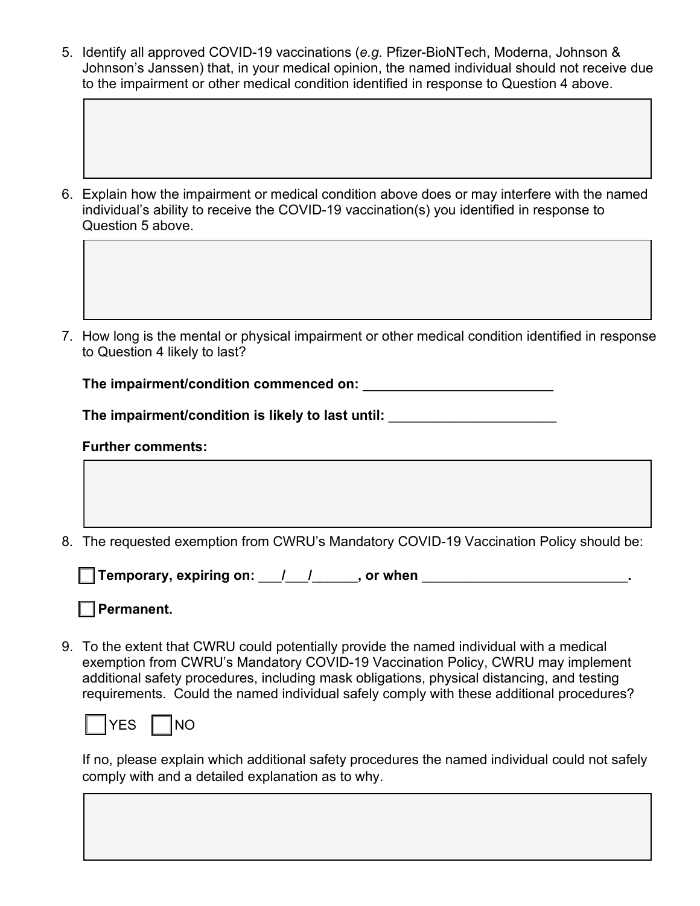5. Identify all approved COVID-19 vaccinations (*e.g.* Pfizer-BioNTech, Moderna, Johnson & Johnson's Janssen) that, in your medical opinion, the named individual should not receive due to the impairment or other medical condition identified in response to Question 4 above.

6. Explain how the impairment or medical condition above does or may interfere with the named individual's ability to receive the COVID-19 vaccination(s) you identified in response to Question 5 above.

7. How long is the mental or physical impairment or other medical condition identified in response to Question 4 likely to last?

The impairment/condition commenced on:

**The impairment/condition is likely to last until:** \_\_\_\_\_\_\_\_\_\_\_\_\_\_\_\_\_\_\_\_\_\_

#### **Further comments:**

8. The requested exemption from CWRU's Mandatory COVID-19 Vaccination Policy should be:

☐ **Temporary, expiring on:** \_\_\_**/**\_\_\_**/**\_\_\_\_\_\_**, or when** \_\_\_\_\_\_\_\_\_\_\_\_\_\_\_\_\_\_\_\_\_\_\_\_\_\_\_**.** 

☐ **Permanent.**

9. To the extent that CWRU could potentially provide the named individual with a medical exemption from CWRU's Mandatory COVID-19 Vaccination Policy, CWRU may implement additional safety procedures, including mask obligations, physical distancing, and testing requirements. Could the named individual safely comply with these additional procedures?



If no, please explain which additional safety procedures the named individual could not safely comply with and a detailed explanation as to why.